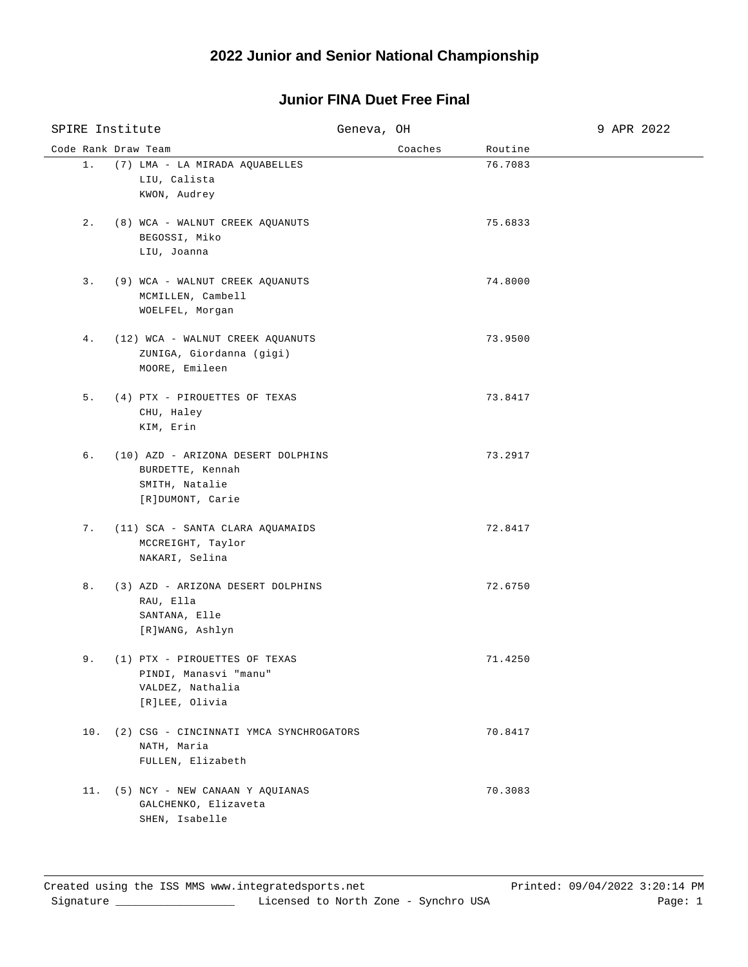## **Junior FINA Duet Free Final**

| SPIRE Institute     |                                                                                              | Geneva, OH |         |         | 9 APR 2022 |
|---------------------|----------------------------------------------------------------------------------------------|------------|---------|---------|------------|
| Code Rank Draw Team |                                                                                              |            | Coaches | Routine |            |
| $1$ .               | (7) LMA - LA MIRADA AQUABELLES<br>LIU, Calista<br>KWON, Audrey                               |            |         | 76.7083 |            |
| $2$ .               | (8) WCA - WALNUT CREEK AQUANUTS<br>BEGOSSI, Miko<br>LIU, Joanna                              |            |         | 75.6833 |            |
| $3$ .               | (9) WCA - WALNUT CREEK AQUANUTS<br>MCMILLEN, Cambell<br>WOELFEL, Morgan                      |            |         | 74.8000 |            |
| 4.                  | (12) WCA - WALNUT CREEK AQUANUTS<br>ZUNIGA, Giordanna (gigi)<br>MOORE, Emileen               |            |         | 73.9500 |            |
| 5.                  | (4) PTX - PIROUETTES OF TEXAS<br>CHU, Haley<br>KIM, Erin                                     |            |         | 73.8417 |            |
| б.                  | (10) AZD - ARIZONA DESERT DOLPHINS<br>BURDETTE, Kennah<br>SMITH, Natalie<br>[R]DUMONT, Carie |            |         | 73.2917 |            |
| 7.                  | (11) SCA - SANTA CLARA AQUAMAIDS<br>MCCREIGHT, Taylor<br>NAKARI, Selina                      |            |         | 72.8417 |            |
| 8.                  | (3) AZD - ARIZONA DESERT DOLPHINS<br>RAU, Ella<br>SANTANA, Elle<br>[R]WANG, Ashlyn           |            |         | 72.6750 |            |
| 9.                  | (1) PTX - PIROUETTES OF TEXAS<br>PINDI, Manasvi "manu"<br>VALDEZ, Nathalia<br>[R]LEE, Olivia |            |         | 71.4250 |            |
|                     | 10. (2) CSG - CINCINNATI YMCA SYNCHROGATORS<br>NATH, Maria<br>FULLEN, Elizabeth              |            |         | 70.8417 |            |
|                     | 11. (5) NCY - NEW CANAAN Y AQUIANAS<br>GALCHENKO, Elizaveta<br>SHEN, Isabelle                |            |         | 70.3083 |            |